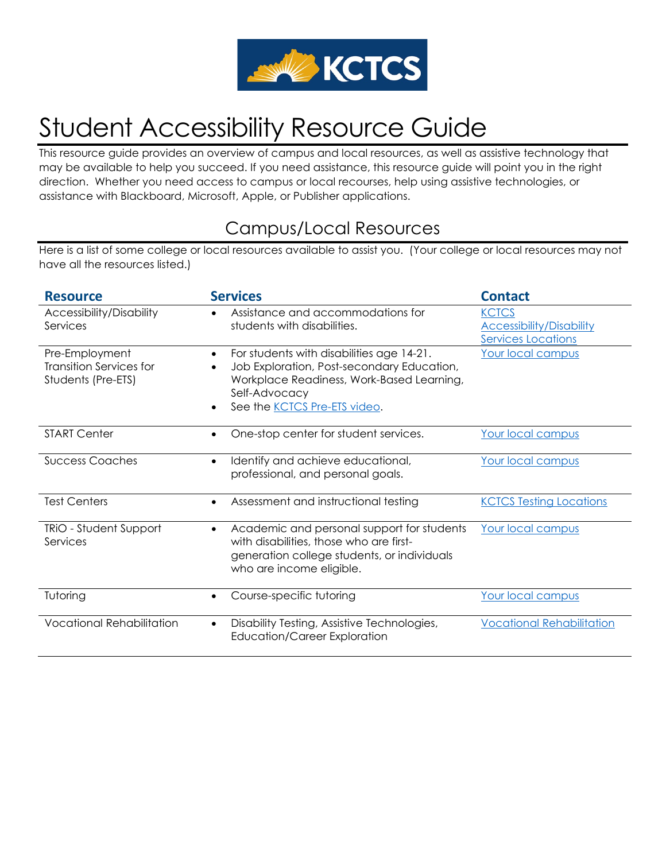

# Student Accessibility Resource Guide

This resource guide provides an overview of campus and local resources, as well as assistive technology that may be available to help you succeed. If you need assistance, this resource guide will point you in the right direction. Whether you need access to campus or local recourses, help using assistive technologies, or assistance with Blackboard, Microsoft, Apple, or Publisher applications.

## Campus/Local Resources

Here is a list of some college or local resources available to assist you. (Your college or local resources may not have all the resources listed.)

| <b>Resource</b>                                                 | <b>Services</b>                                                                                                                                                                                                        | <b>Contact</b>                                                               |
|-----------------------------------------------------------------|------------------------------------------------------------------------------------------------------------------------------------------------------------------------------------------------------------------------|------------------------------------------------------------------------------|
| Accessibility/Disability<br>Services                            | Assistance and accommodations for<br>students with disabilities.                                                                                                                                                       | <b>KCTCS</b><br><b>Accessibility/Disability</b><br><b>Services Locations</b> |
| Pre-Employment<br>Transition Services for<br>Students (Pre-ETS) | For students with disabilities age 14-21.<br>$\bullet$<br>Job Exploration, Post-secondary Education,<br>$\bullet$<br>Workplace Readiness, Work-Based Learning,<br>Self-Advocacy<br>See the <b>KCTCS</b> Pre-ETS video. | Your local campus                                                            |
| <b>START Center</b>                                             | One-stop center for student services.<br>$\bullet$                                                                                                                                                                     | Your local campus                                                            |
| <b>Success Coaches</b>                                          | Identify and achieve educational,<br>$\bullet$<br>professional, and personal goals.                                                                                                                                    | Your local campus                                                            |
| <b>Test Centers</b>                                             | Assessment and instructional testing<br>$\bullet$                                                                                                                                                                      | <b>KCTCS Testing Locations</b>                                               |
| <b>TRIO - Student Support</b><br>Services                       | Academic and personal support for students<br>$\bullet$<br>with disabilities, those who are first-<br>generation college students, or individuals<br>who are income eligible.                                          | Your local campus                                                            |
| Tutoring                                                        | Course-specific tutoring                                                                                                                                                                                               | Your local campus                                                            |
| <b>Vocational Rehabilitation</b>                                | Disability Testing, Assistive Technologies,<br><b>Education/Career Exploration</b>                                                                                                                                     | <b>Vocational Rehabilitation</b>                                             |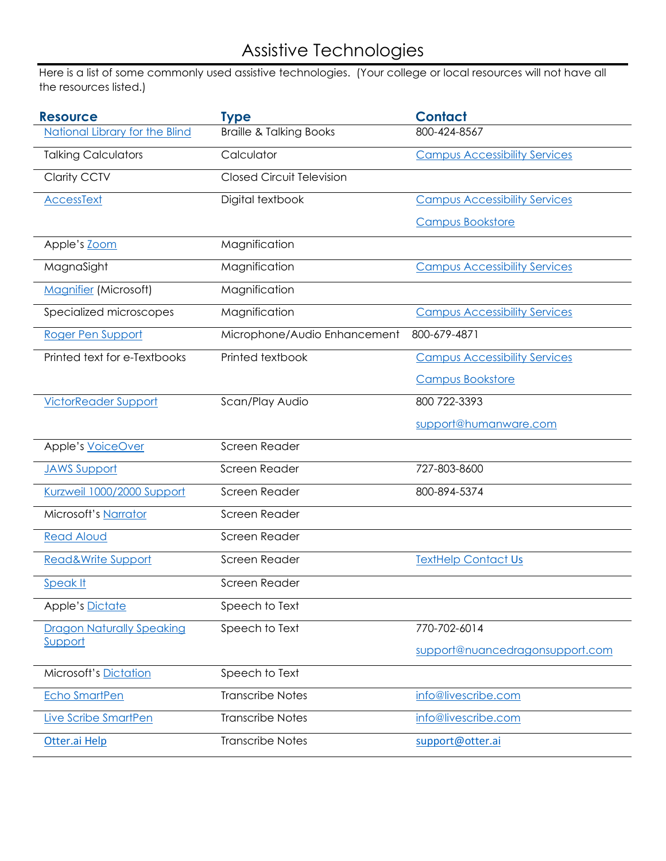## Assistive Technologies

Here is a list of some commonly used assistive technologies. (Your college or local resources will not have all the resources listed.)

| <b>Resource</b>                       | <b>Type</b>                        | <b>Contact</b>                       |
|---------------------------------------|------------------------------------|--------------------------------------|
| <b>National Library for the Blind</b> | <b>Braille &amp; Talking Books</b> | 800-424-8567                         |
| <b>Talking Calculators</b>            | Calculator                         | <b>Campus Accessibility Services</b> |
| <b>Clarity CCTV</b>                   | <b>Closed Circuit Television</b>   |                                      |
| <b>AccessText</b>                     | Digital textbook                   | <b>Campus Accessibility Services</b> |
|                                       |                                    | <b>Campus Bookstore</b>              |
| Apple's Zoom                          | Magnification                      |                                      |
| MagnaSight                            | Magnification                      | <b>Campus Accessibility Services</b> |
| <b>Magnifier (Microsoft)</b>          | Magnification                      |                                      |
| Specialized microscopes               | Magnification                      | <b>Campus Accessibility Services</b> |
| Roger Pen Support                     | Microphone/Audio Enhancement       | 800-679-4871                         |
| Printed text for e-Textbooks          | Printed textbook                   | <b>Campus Accessibility Services</b> |
|                                       |                                    | <b>Campus Bookstore</b>              |
| <b>VictorReader Support</b>           | Scan/Play Audio                    | 800 722-3393                         |
|                                       |                                    | support@humanware.com                |
| Apple's VoiceOver                     | Screen Reader                      |                                      |
| <b>JAWS Support</b>                   | Screen Reader                      | 727-803-8600                         |
| Kurzweil 1000/2000 Support            | Screen Reader                      | 800-894-5374                         |
| Microsoft's Narrator                  | Screen Reader                      |                                      |
| <b>Read Aloud</b>                     | Screen Reader                      |                                      |
| Read&Write Support                    | Screen Reader                      | <b>TextHelp Contact Us</b>           |
| Speak It                              | Screen Reader                      |                                      |
| <b>Apple's Dictate</b>                | Speech to Text                     |                                      |
| <b>Dragon Naturally Speaking</b>      | Speech to Text                     | 770-702-6014                         |
| Support                               |                                    | support@nuancedragonsupport.com      |
| <b>Microsoft's Dictation</b>          | Speech to Text                     |                                      |
| <b>Echo SmartPen</b>                  | <b>Transcribe Notes</b>            | info@livescribe.com                  |
| Live Scribe SmartPen                  | <b>Transcribe Notes</b>            | info@livescribe.com                  |
| Otter.ai Help                         | <b>Transcribe Notes</b>            | support@otter.ai                     |